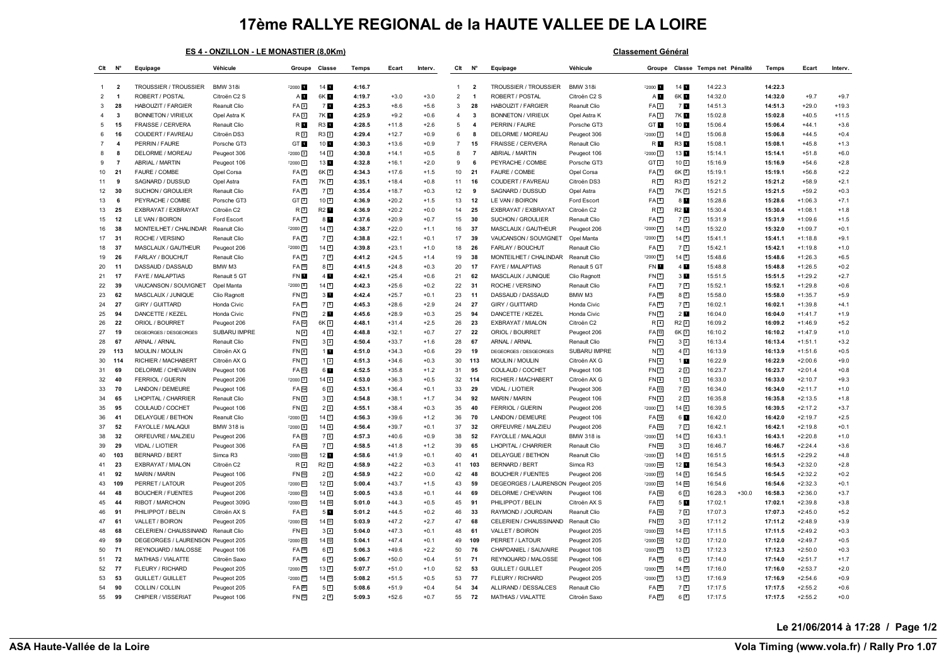## **17ème RALLYE REGIONAL de la HAUTE VALLEE DE LA LOIRE**

|  | ES 4 - ONZILLON - LE MONASTIER (8.0Km) |  |
|--|----------------------------------------|--|
|  |                                        |  |

**Classement Général** 

| Clt            | N°                      | Equipage                                  | Véhicule                    | Groupe                            | Classe            | Temps            | Ecart              | Interv.          | Clt            | N <sup>c</sup>        | Equipage                                 | Véhicule                    | Groupe                                   |                                | Classe Temps net Pénalité | Temps              | Ecart                  | Interv.          |
|----------------|-------------------------|-------------------------------------------|-----------------------------|-----------------------------------|-------------------|------------------|--------------------|------------------|----------------|-----------------------|------------------------------------------|-----------------------------|------------------------------------------|--------------------------------|---------------------------|--------------------|------------------------|------------------|
|                |                         |                                           |                             |                                   |                   |                  |                    |                  |                |                       |                                          |                             |                                          |                                |                           |                    |                        |                  |
| -1             | $\overline{\mathbf{2}}$ | <b>TROUSSIER / TROUSSIER</b>              | <b>BMW 318i</b>             | $2000 - 1$                        | 14 1              | 4:16.7           |                    |                  | $\overline{1}$ | - 2                   | <b>TROUSSIER / TROUSSIER</b>             | <b>BMW 318i</b>             | $2000 - 1$                               | 14 <b>M</b>                    | 14:22.3                   | 14:22.3            |                        |                  |
| $\overline{2}$ | $\overline{\mathbf{1}}$ | ROBERT / POSTAL                           | Citroën C2 S                | AП                                | 6K 1              | 4:19.7           | $+3.0$             | $+3.0$           | $\overline{2}$ | $\overline{1}$        | ROBERT / POSTAL                          | Citroën C2 S                | A <sub>D</sub>                           | 6K 1                           | 14:32.0                   | 14:32.0            | $+9.7$                 | $+9.7$           |
| 3              | 28                      | HABOUZIT / FARGIER                        | Reanult Clio                | FA2                               | 70                | 4:25.3           | $+8.6$             | $+5.6$           | $\mathbf{3}$   | 28                    | HABOUZIT / FARGIER                       | Reanult Clio                | FA2                                      | 7 <b>N</b>                     | 14:51.3                   | 14:51.3            | $+29.0$                | $+19.3$          |
|                | -3                      | <b>BONNETON / VIRIEUX</b>                 | Opel Astra K                | FA <sub>3</sub>                   | 7K E              | 4:25.9           | $+9.2$             | $+0.6$           | $\overline{4}$ | 3                     | <b>BONNETON / VIRIEUX</b>                | Opel Astra K                | FA3                                      | 7K <b>N</b>                    | 15:02.8                   | 15:02.8            | $+40.5$                | $+11.5$          |
| 5              | 15                      | <b>FRAISSE / CERVERA</b>                  | Renault Clio                | R <b>M</b>                        | <b>R3</b>         | 4:28.5           | $+11.8$            | $+2.6$           | 5              | $\boldsymbol{\Delta}$ | PERRIN / FAURE                           | Porsche GT3                 | GT <b>H</b>                              | 10 1                           | 15:06.4                   | 15:06.4            | $+44.1$                | $+3.6$           |
| 6              | 16                      | COUDERT / FAVREAU                         | Citroën DS3                 | R <sub>2</sub>                    | $R3$ <sup>2</sup> | 4:29.4           | $+12.7$            | $+0.9$           | 6              | -8                    | DELORME / MOREAU                         | Peugeot 306                 | $-2000$ $\boxed{2}$                      | 14 <sup>2</sup>                | 15:06.8                   | 15:06.8            | $+44.5$                | $+0.4$           |
| $\overline{7}$ | $\overline{\mathbf{4}}$ | PERRIN / FAURE                            | Porsche GT3                 | GT <sub>1</sub>                   | 10 1              | 4:30.3           | $+13.6$            | $+0.9$           | $\overline{7}$ | 15                    | FRAISSE / CERVERA                        | Renault Clio                | R <b>L</b>                               | R3 1                           | 15:08.1                   | 15:08.1            | $+45.8$                | $+1.3$           |
| 8              | -8                      | DELORME / MOREAU                          | Peugeot 306                 | $F2000$ $2$                       | $14\sqrt{2}$      | 4:30.8           | $+14.1$            | $+0.5$           | 8              | $\overline{7}$        | ABRIAL / MARTIN                          | Peugeot 106                 | =2000 3                                  | 13                             | 15:14.1                   | 15:14.1            | $+51.8$                | $+6.0$           |
| 9              | $\overline{7}$          | ABRIAL / MARTIN                           | Peugeot 106                 | $F2000$ 3                         | 13 1              | 4:32.8           | $+16.1$            | $+2.0$           | 9              | 6                     | PEYRACHE / COMBE                         | Porsche GT3                 | GT[2]                                    | 10 <sup>2</sup>                | 15:16.9                   | 15:16.9            | $+54.6$                | $+2.8$           |
| 10             | 21                      | FAURE / COMBE                             | Opel Corsa                  | $FA$ <sup>4</sup>                 | $6K$ <sup>2</sup> | 4:34.3           | $+17.6$            | $+1.5$           | 10             | 21                    | FAURE / COMBE                            | Opel Corsa                  | $FA$ <sup>4</sup>                        | 6K <sub>2</sub>                | 15:19.1                   | 15:19.1            | $+56.8$                | $+2.2$           |
| 11             | 9                       | SAGNARD / DUSSUD                          | Opel Astra                  | FA <sub>5</sub>                   | 7K 2              | 4:35.1           | $+18.4$            | $+0.8$           | 11             | 16                    | COUDERT / FAVREAU                        | Citroën DS3                 | R <sub>2</sub>                           | R3 2                           | 15:21.2                   | 15:21.2            | $+58.9$                | $+2.1$           |
| 12             | 30                      | SUCHON / GROULIER                         | Renault Clio                | FA <sub>6</sub>                   | 72                | 4:35.4           | $+18.7$            | $+0.3$           | 12             | -9                    | SAGNARD / DUSSUD                         | Opel Astra                  | FA5                                      | 7K 2                           | 15:21.5                   | 15:21.5            | $+59.2$                | $+0.3$           |
| 13             | 6                       | PEYRACHE / COMBE                          | Porsche GT3                 | GT <sub>2</sub>                   | 10 <sup>2</sup>   | 4:36.9           | $+20.2$<br>$+20.2$ | $+1.5$           | 13             | 12                    | LE VAN / BOIRON                          | Ford Escort                 | FAG                                      | 8 <b>M</b>                     | 15:28.6                   | 15:28.6            | $+1:06.3$              | $+7.1$<br>$+1.8$ |
| 13             | 25                      | EXBRAYAT / EXBRAYAT                       | Citroën C2                  | R3                                | <b>R2</b>         | 4:36.9           |                    | $+0.0$           | 14             | 25                    | EXBRAYAT / EXBRAYAT                      | Citroën C2                  | R <sub>3</sub>                           | R2 <sup>1</sup>                | 15:30.4                   | 15:30.4            | $+1:08.1$              |                  |
| 15<br>16       | 12<br>38                | LE VAN / BOIRON<br>MONTEILHET / CHALINDAR | Ford Escort<br>Reanult Clio | FA <sub>[7</sub> ]<br>$-2000 - 4$ | 81<br>14 3        | 4:37.6<br>4:38.7 | $+20.9$<br>$+22.0$ | $+0.7$<br>$+1.1$ | 15<br>16       | 30<br>37              | SUCHON / GROULIER<br>MASCLAUX / GAUTHEUR | Renault Clio<br>Peugeot 206 | FA <sub>[7]</sub><br>$-2000$ $\boxed{4}$ | $7\sqrt{2}$<br>14 <sup>3</sup> | 15:31.9<br>15:32.0        | 15:31.9<br>15:32.0 | $+1:09.6$<br>$+1:09.7$ | $+1.5$<br>$+0.1$ |
| 17             | 31                      | ROCHE / VERSINO                           |                             |                                   | 7 <sup>3</sup>    | 4:38.8           | $+22.1$            | $+0.1$           | 17             | 39                    | VAUCANSON / SOUVIGNET                    | Opel Manta                  | $-20005$                                 | $14\sqrt{4}$                   | 15:41.1                   | 15:41.1            | $+1:18.8$              | $+9.1$           |
| 18             | 37                      | MASCLAUX / GAUTHEUR                       | Renault Clio<br>Peugeot 206 | FA <sub>B</sub><br>$F2000$ 5      | $14\sqrt{4}$      | 4:39.8           | $+23.1$            | $+1.0$           | 18             | 26                    | FARLAY / BOUCHUT                         | Renault Clic                | FA <sub>B</sub>                          | 73                             | 15:42.1                   | 15:42.1            | $+1:19.8$              | $+1.0$           |
|                | 26                      | FARLAY / BOUCHUT                          |                             | FA <mark>9</mark>                 | 7 <sup>4</sup>    | 4:41.2           | $+24.5$            | $+1.4$           | 19             | 38                    | MONTEILHET / CHALINDAR                   | Reanult Clio                | $-2000$ 6                                | 145                            | 15:48.6                   | 15:48.6            | $+1:26.3$              | $+6.5$           |
| 19<br>20       | 11                      | DASSAUD / DASSAUD                         | Renault Clio<br>BMW M3      | FA [10]                           | $8\sqrt{2}$       | 4:41.5           | $+24.8$            | $+0.3$           | 20             | 17                    | FAYE / MALAPTIAS                         | Renault 5 GT                | FN <b>D</b>                              | 4                              | 15:48.8                   | 15:48.8            | $+1:26.5$              | $+0.2$           |
| 21             | 17                      | FAYE / MALAPTIAS                          | Renault 5 GT                | FN <b>H</b>                       | 4                 | 4:42.1           | $+25.4$            | $+0.6$           | 21             | 62                    | MASCLAUX / JUNIQUE                       | Clio Ragnott                | $FN$ <sup>2</sup>                        | 3 <sub>1</sub>                 | 15:51.5                   | 15:51.5            | $+1:29.2$              | $+2.7$           |
| 22             | 39                      | VAUCANSON / SOUVIGNET                     | Opel Manta                  | F20006                            | 14回               | 4:42.3           | $+25.6$            | $+0.2$           | 22             | 31                    | ROCHE / VERSINO                          | Renault Clio                | FA <sub>D</sub>                          | 7 <sup>4</sup>                 | 15:52.1                   | 15:52.1            | $+1:29.8$              | $+0.6$           |
| 23             | 62                      | MASCLAUX / JUNIQUE                        | Clio Ragnott                | FN <sub>2</sub>                   | 3 <sub>II</sub>   | 4:42.4           | $+25.7$            | $+0.1$           | 23             | 11                    | DASSAUD / DASSAUD                        | BMW M3                      | FA [10]                                  | $8\sqrt{2}$                    | 15:58.0                   | 15:58.0            | $+1:35.7$              | $+5.9$           |
| 24             | 27                      | GIRY / GUITTARD                           | Honda Civic                 | FA 11                             | 75                | 4:45.3           | $+28.6$            | $+2.9$           | 24             | 27                    | GIRY / GUITTARD                          | Honda Civic                 | FA <sub>[1]</sub>                        | 75                             | 16:02.1                   | 16:02.1            | $+1:39.8$              | $+4.1$           |
| 25             | 94                      | DANCETTE / KEZEL                          | Honda Civic                 | FN <sub>3</sub>                   | 2 <sub>u</sub>    | 4:45.6           | $+28.9$            | $+0.3$           | 25             | 94                    | DANCETTE / KEZEL                         | Honda Civic                 | FN <sub>3</sub>                          | 2 <sub>1</sub>                 | 16:04.0                   | 16:04.0            | $+1:41.7$              | $+1.9$           |
| 26             | 22                      | ORIOL / BOURRET                           | Peugeot 206                 | FA 12                             | 6K <sup>3</sup>   | 4:48.1           | $+31.4$            | $+2.5$           | 26             | 23                    | EXBRAYAT / MIALON                        | Citroën C2                  | R <sub>1</sub>                           | $R2$ <sup>2</sup>              | 16:09.2                   | 16:09.2            | $+1:46.9$              | $+5.2$           |
| 27             | 19                      | DEGEORGES / DESGEORGES                    | SUBARU IMPRE                | N <sub>4</sub>                    | $4\sqrt{2}$       | 4:48.8           | $+32.1$            | $+0.7$           | 27             | 22                    | ORIOL / BOURRET                          | Peugeot 206                 | $FA$ <sup>12</sup>                       | 6K <sub>3</sub>                | 16:10.2                   | 16:10.2            | $+1:47.9$              | $+1.0$           |
| 28             | 67                      | ARNAL / ARNAL                             | Renault Clio                | FN <sub>5</sub>                   | 32                | 4:50.4           | $+33.7$            | $+1.6$           | 28             | 67                    | ARNAL / ARNAL                            | Renault Clio                | FN <sub>4</sub>                          | 3 <sup>2</sup>                 | 16:13.4                   | 16:13.4            | $+1:51.1$              | $+3.2$           |
| 29             | 113                     | <b>MOULIN / MOULIN</b>                    | Citroën AX G                | FN6                               | 1 <sub>1</sub>    | 4:51.0           | $+34.3$            | $+0.6$           | 29             | 19                    | DEGEORGES / DESGEORGES                   | SUBARU IMPRE                | N <sub>5</sub>                           | $4\sqrt{2}$                    | 16:13.9                   | 16:13.9            | $+1:51.6$              | $+0.5$           |
| 30             | 114                     | RICHIER / MACHABERT                       | Citroën AX G                | FN <sub>7</sub>                   | $1\sqrt{2}$       | 4:51.3           | $+34.6$            | $+0.3$           | 30             | 113                   | <b>MOULIN / MOULIN</b>                   | Citroën AX G                | $FN$ <sup>6</sup>                        | 1 <sub>1</sub>                 | 16:22.9                   | 16:22.9            | $+2:00.6$              | $+9.0$           |
| 31             | 69                      | DELORME / CHEVARIN                        | Peugeot 106                 | FA 13                             | 6 1               | 4:52.5           | $+35.8$            | $+1.2$           | 31             | 95                    | COULAUD / COCHET                         | Peugeot 106                 | FN2                                      | $2\sqrt{2}$                    | 16:23.7                   | 16:23.7            | $+2:01.4$              | $+0.8$           |
| 32             | 40                      | FERRIOL / GUERIN                          | Peugeot 206                 | $-2000$ $\boxed{7}$               | $14\sqrt{6}$      | 4:53.0           | $+36.3$            | $+0.5$           | 32             | 114                   | RICHIER / MACHABERT                      | Citroën AX G                | $FN$ $8$                                 | $1\sqrt{2}$                    | 16:33.0                   | 16:33.0            | $+2:10.7$              | $+9.3$           |
| 33             | 70                      | LANDON / DEMEURE                          | Peugeot 106                 | FA 14                             | $6\sqrt{2}$       | 4:53.1           | $+36.4$            | $+0.1$           | 33             | 29                    | VIDAL / LIOTIER                          | Peugeot 306                 | FA 13                                    | 76                             | 16:34.0                   | 16:34.0            | $+2:11.7$              | $+1.0$           |
| 34             | 65                      | LHOPITAL / CHARRIER                       | Renault Clio                | FN <sub>[8]</sub>                 | 3 <sup>3</sup>    | 4:54.8           | $+38.1$            | $+1.7$           | 34             | 92                    | <b>MARIN / MARIN</b>                     | Peugeot 106                 | FN9                                      | 2 <sup>3</sup>                 | 16:35.8                   | 16:35.8            | $+2:13.5$              | $+1.8$           |
| 35             | 95                      | COULAUD / COCHET                          | Peugeot 106                 | FN <sub>9</sub>                   | 22                | 4:55.1           | $+38.4$            | $+0.3$           | 35             | 40                    | <b>FERRIOL / GUERIN</b>                  | Peugeot 206                 | $-2000$ $\boxed{7}$                      | 146                            | 16:39.5                   | 16:39.5            | $+2:17.2$              | $+3.7$           |
| 36             | 41                      | <b>DELAYGUE / BETHON</b>                  | Reanult Clio                | $F2000$ 8                         | $14\sqrt{2}$      | 4:56.3           | $+39.6$            | $+1.2$           | 36             | 70                    | LANDON / DEMEURE                         | Peugeot 106                 | FA [14]                                  | 6 <b>M</b>                     | 16:42.0                   | 16:42.0            | $+2:19.7$              | $+2.5$           |
| 37             | 52                      | FAYOLLE / MALAQUI                         | <b>BMW 318 is</b>           | $F2000$ 9                         | $14\sqrt{8}$      | 4:56.4           | $+39.7$            | $+0.1$           | 37             | 32                    | ORFEUVRE / MALZIEU                       | Peugeot 206                 | FA 15                                    | 7 <sub>7</sub>                 | 16:42.1                   | 16:42.1            | $+2:19.8$              | $+0.1$           |
| 38             | 32                      | ORFEUVRE / MALZIEU                        | Peugeot 206                 | FA 15                             | 76                | 4:57.3           | $+40.6$            | $+0.9$           | 38             | 52                    | FAYOLLE / MALAQUI                        | <b>BMW 318 is</b>           | $-2000$ $8$                              | $14$ $\overline{7}$            | 16:43.1                   | 16:43.1            | $+2:20.8$              | $+1.0$           |
| 39             | 29                      | VIDAL / LIOTIER                           | Peugeot 306                 | FA 16                             | 7回                | 4:58.5           | $+41.8$            | $+1.2$           | 39             | 65                    | LHOPITAL / CHARRIER                      | Renault Clio                | FN [10]                                  | 3 <sup>3</sup>                 | 16:46.7                   | 16:46.7            | $+2:24.4$              | $+3.6$           |
| 40             | 103                     | <b>BERNARD / BERT</b>                     | Simca R3                    | $F2000$ 10                        | 12 1              | 4:58.6           | $+41.9$            | $+0.1$           | 40             | 41                    | DELAYGUE / BETHON                        | Reanult Clio                | $-2000$ $9$                              | 14 <sup>8</sup>                | 16:51.5                   | 16:51.5            | $+2:29.2$              | $+4.8$           |
| 41             | 23                      | EXBRAYAT / MIALON                         | Citroën C2                  | R <sub>4</sub>                    | $R2$ <sup>2</sup> | 4:58.9           | $+42.2$            | $+0.3$           | 41             | 103                   | <b>BERNARD / BERT</b>                    | Simca R3                    | $-2000$ $10$                             | 12 <sub>II</sub>               | 16:54.3                   | 16:54.3            | $+2:32.0$              | $+2.8$           |
| 41             | 92                      | <b>MARIN / MARIN</b>                      | Peugeot 106                 | FN 10                             | 2 <sup>3</sup>    | 4:58.9           | $+42.2$            | $+0.0$           | 42             | 48                    | <b>BOUCHER / FUENTES</b>                 | Peugeot 206                 | $-2000$ $11$                             | 149                            | 16:54.5                   | 16:54.5            | $+2:32.2$              | $+0.2$           |
| 43             | 109                     | PERRET / LATOUR                           | Peugeot 205                 | F2000 11                          | $12\sqrt{2}$      | 5:00.4           | $+43.7$            | $+1.5$           | 43             | 59                    | DEGEORGES / LAURENSON Peugeot 205        |                             | $-2000$ $12$                             | $14$ $10$                      | 16:54.6                   | 16:54.6            | $+2:32.3$              | $+0.1$           |
| 44             | 48                      | <b>BOUCHER / FUENTES</b>                  | Peugeot 206                 | F2000 12                          | $14$ $9$          | 5:00.5           | $+43.8$            | $+0.1$           | 44             | 69                    | DELORME / CHEVARIN                       | Peugeot 106                 | FA [16]                                  | $6\sqrt{2}$                    | 16:28.3<br>$+30.0$        | 16:58.3            | $+2:36.0$              | $+3.7$           |
| 45             | 44                      | RIBOT / MARCHON                           | Peugeot 309G                | $F2000$ 13                        | 14 10             | 5:01.0           | $+44.3$            | $+0.5$           | 45             | 91                    | PHILIPPOT / BELIN                        | Citroën AX S                | FA 17                                    | 5 <b>M</b>                     | 17:02.1                   | 17:02.1            | $+2:39.8$              | $+3.8$           |
| 46             | 91                      | PHILIPPOT / BELIN                         | Citroën AX S                | FA 17                             | 5 <b>H</b>        | 5:01.2           | $+44.5$            | $+0.2$           | 46             | 33                    | RAYMOND / JOURDAIN                       | Reanult Clio                | FA [18]                                  | 72                             | 17:07.3                   | 17:07.3            | $+2:45.0$              | $+5.2$           |
| 47             | 61                      | VALLET / BOIRON                           | Peugeot 205                 | $F2000$ 14                        | 14回               | 5:03.9           | $+47.2$            | $+2.7$           | 47             | 68                    | CELERIEN / CHAUSSINAND                   | Renault Clio                | FN [1]                                   | 3 <sup>4</sup>                 | 17:11.2                   | 17:11.2            | $+2:48.9$              | $+3.9$           |
| 48             | 68                      | CELERIEN / CHAUSSINAND                    | Renault Clio                | FN 11                             | $3\sqrt{4}$       | 5:04.0           | $+47.3$            | +0.1             | 48             | 61                    | VALLET / BOIRON                          | Peugeot 205                 | $-2000$ $13$                             | 14 11                          | 17:11.5                   | 17:11.5            | $+2:49.2$              | $+0.3$           |
| 49             | 59                      | DEGEORGES / LAURENSON                     | Peugeot 205                 | $F2000$ 15                        | 14 [12]           | 5:04.1           | $+47.4$            | $+0.1$           | 49             | 109                   | PERRET / LATOUR                          | Peugeot 205                 | $-2000$ $\boxed{14}$                     | 12 <sup>2</sup>                | 17:12.0                   | 17:12.0            | $+2:49.7$              | $+0.5$           |
| 50             | 71                      | REYNOUARD / MALOSSE                       | Peugeot 106                 | FA 18                             | 6 <sup>3</sup>    | 5:06.3           | $+49.6$            | $+2.2$           | 50             | 76                    | CHAPDANIEL / SAUVAIRE                    | Peugeot 106                 | $-2000$ $15$                             | 13 <sup>2</sup>                | 17:12.3                   | 17:12.3            | $+2:50.0$              | $+0.3$           |
| 51             | 72                      | MATHIAS / VIALATTE                        | Citroën Saxo                | FA 19                             | $6\sqrt{4}$       | 5:06.7           | $+50.0$            | $+0.4$           | 51             | 71                    | REYNOUARD / MALOSSE                      | Peugeot 106                 | FA [19]                                  | 63                             | 17:14.0                   | 17:14.0            | $+2:51.7$              | $+1.7$           |
| 52             | 77                      | FLEURY / RICHARD                          | Peugeot 205                 | $F2000$ 16                        | $13\sqrt{2}$      | 5:07.7           | $+51.0$            | $+1.0$           | 52             | 53                    | <b>GUILLET / GUILLET</b>                 | Peugeot 205                 | $-2000$ $16$                             | $14 \overline{12}$             | 17:16.0                   | 17:16.0            | $+2:53.7$              | $+2.0$           |
| 53             | 53                      | <b>GUILLET / GUILLET</b>                  | Peugeot 205                 | F2000 17                          | 14 [13]           | 5:08.2           | $+51.5$            | $+0.5$           | 53             | 77                    | FLEURY / RICHARD                         | Peugeot 205                 | $-2000$ $17$                             | 13 <sup>3</sup>                | 17:16.9                   | 17:16.9            | $+2:54.6$              | $+0.9$           |
| 54             | 90                      | COLLIN / COLLIN                           | Peugeot 205                 | FA 20                             | 52                | 5:08.6           | $+51.9$            | $+0.4$           | 54             | 34                    | ALLIRAND / DESSALCES                     | Renault Clio                | FA 20                                    | 79                             | 17:17.5                   | 17:17.5            | $+2:55.2$              | $+0.6$           |
| 55             | 99                      | CHIPIER / VISSERIAT                       | Peugeot 106                 | FN [12]                           | $2\sqrt{4}$       | 5:09.3           | $+52.6$            | $+0.7$           | 55             | 72                    | MATHIAS / VIALATTE                       | Citroën Saxo                | FA21                                     | $6\sqrt{4}$                    | 17:17.5                   | 17:17.5            | $+2:55.2$              | $+0.0$           |

**Le 21/06/2014 à 17:28 / Page 1/2**